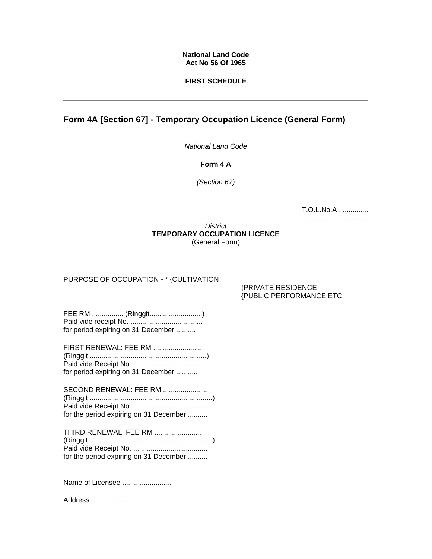### **National Land Code Act No 56 Of 1965**

### **FIRST SCHEDULE**

# **Form 4A [Section 67] - Temporary Occupation Licence (General Form)**

*National Land Code* 

**Form 4 A** 

*(Section 67)*

| T.O.L.No.A |  |
|------------|--|
|            |  |

*District* **TEMPORARY OCCUPATION LICENCE**  (General Form)

\_\_\_\_\_\_\_\_\_\_\_\_

## PURPOSE OF OCCUPATION - \* {CULTIVATION

{PRIVATE RESIDENCE {PUBLIC PERFORMANCE,ETC.

FEE RM ................ (Ringgit...........................) Paid vide receipt No. ..................................... for period expiring on 31 December ..........

FIRST RENEWAL: FEE RM .......................... (Ringgit ............................................................) Paid vide Receipt No. .................................... for period expiring on 31 December ...........

SECOND RENEWAL: FEE RM ........................ (Ringgit ...............................................................) Paid vide Receipt No. ...................................... for the period expiring on 31 December ..........

THIRD RENEWAL: FEE RM ........................ (Ringgit ...............................................................) Paid vide Receipt No. ...................................... for the period expiring on 31 December ..........

Name of Licensee .........................

Address ..............................